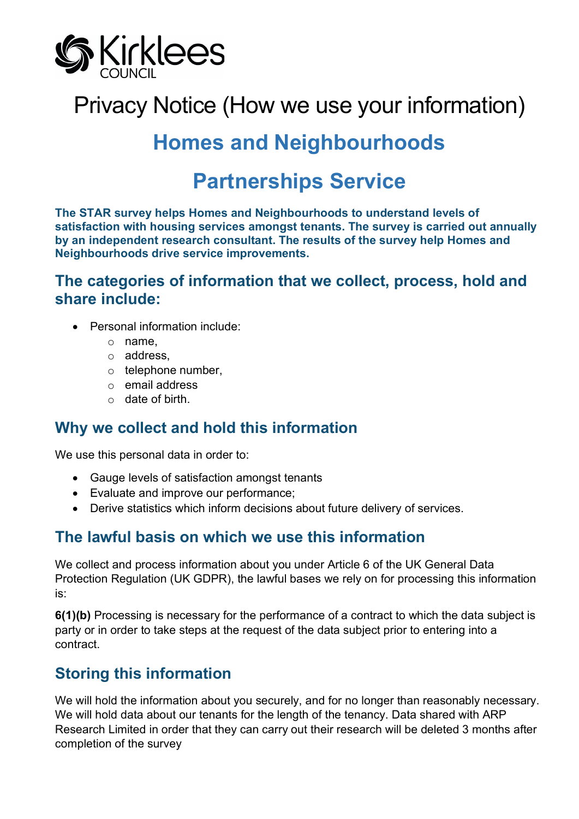

# Privacy Notice (How we use your information)

# **Homes and Neighbourhoods**

# **Partnerships Service**

**The STAR survey helps Homes and Neighbourhoods to understand levels of satisfaction with housing services amongst tenants. The survey is carried out annually by an independent research consultant. The results of the survey help Homes and Neighbourhoods drive service improvements.**

#### **The categories of information that we collect, process, hold and share include:**

- Personal information include:
	- o name,
	- o address,
	- o telephone number,
	- o email address
	- $\circ$  date of birth.

#### **Why we collect and hold this information**

We use this personal data in order to:

- Gauge levels of satisfaction amongst tenants
- Evaluate and improve our performance;
- Derive statistics which inform decisions about future delivery of services.

#### **The lawful basis on which we use this information**

We collect and process information about you under Article 6 of the UK General Data Protection Regulation (UK GDPR), the lawful bases we rely on for processing this information is:

**6(1)(b)** Processing is necessary for the performance of a contract to which the data subject is party or in order to take steps at the request of the data subject prior to entering into a contract.

# **Storing this information**

We will hold the information about you securely, and for no longer than reasonably necessary. We will hold data about our tenants for the length of the tenancy. Data shared with ARP Research Limited in order that they can carry out their research will be deleted 3 months after completion of the survey